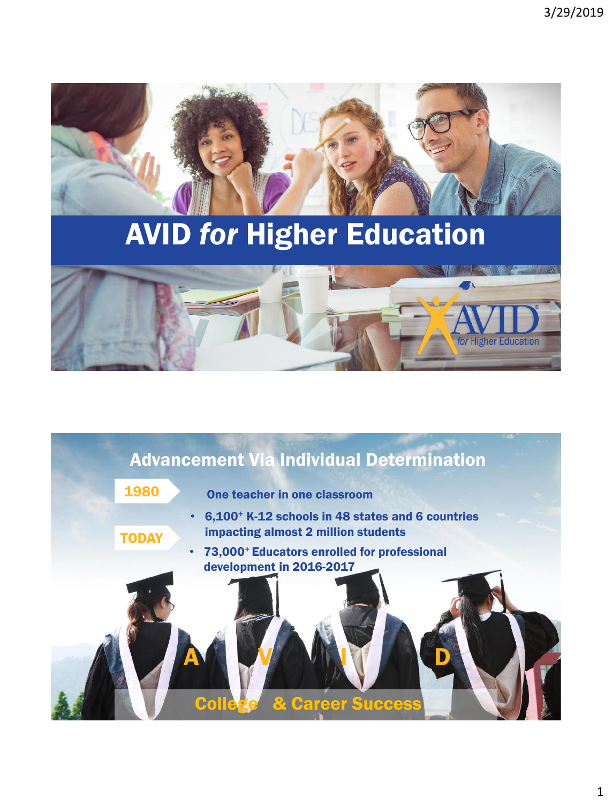

# AVID *for* Higher Education



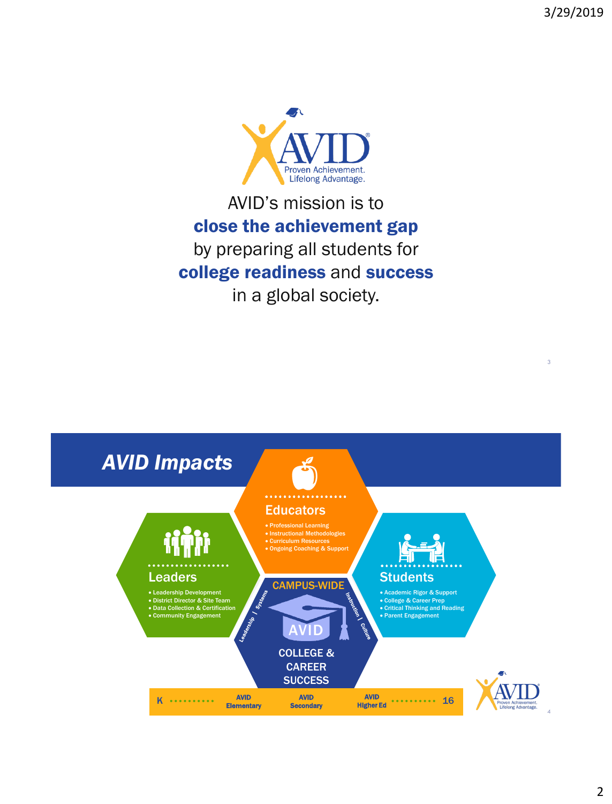

### AVID's mission is to close the achievement gap by preparing all students for college readiness and success in a global society.

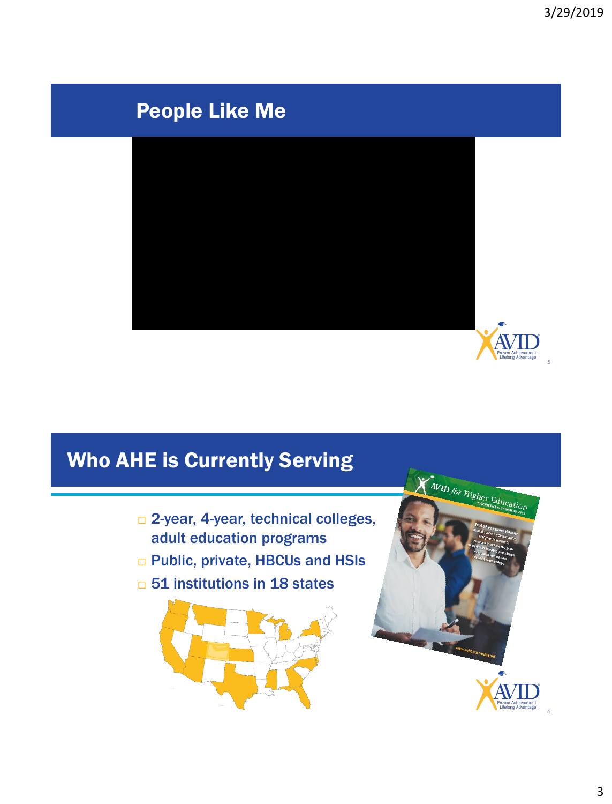A

### People Like Me



# Who AHE is Currently Serving

- □ 2-year, 4-year, technical colleges, adult education programs
- □ Public, private, HBCUs and HSIs
- □ 51 institutions in 18 states





6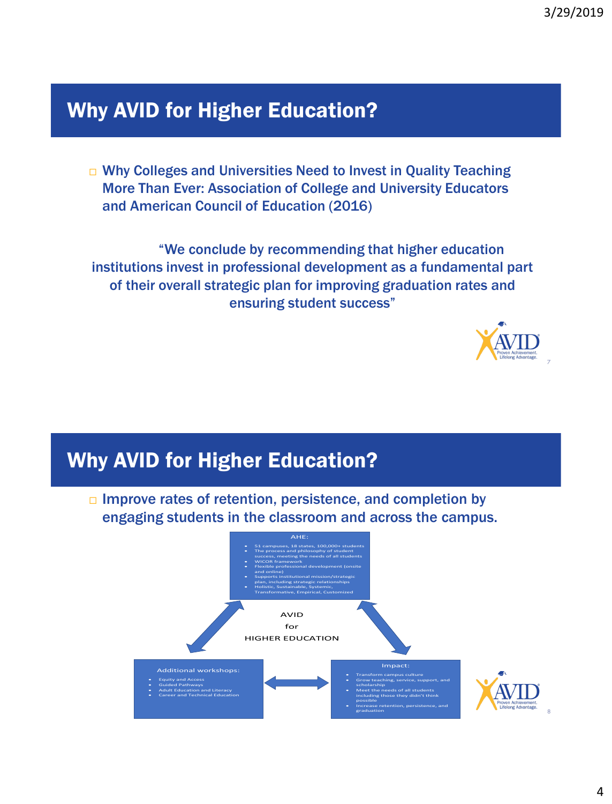# Why AVID for Higher Education?

□ Why Colleges and Universities Need to Invest in Quality Teaching More Than Ever: Association of College and University Educators and American Council of Education (2016)

"We conclude by recommending that higher education institutions invest in professional development as a fundamental part of their overall strategic plan for improving graduation rates and ensuring student success"



# Why AVID for Higher Education?

□ Improve rates of retention, persistence, and completion by engaging students in the classroom and across the campus.

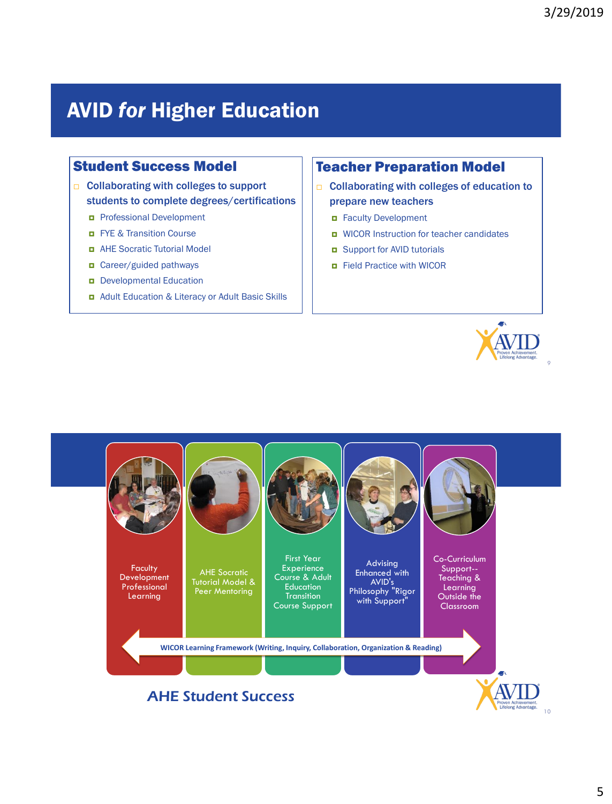### AVID *for* Higher Education

#### Student Success Model

- □ Collaborating with colleges to support students to complete degrees/certifications
	- **Professional Development**
	- **EX Transition Course**
	- AHE Socratic Tutorial Model
	- Career/guided pathways
	- Developmental Education
	- Adult Education & Literacy or Adult Basic Skills

#### Teacher Preparation Model

- □ Collaborating with colleges of education to prepare new teachers
	- Faculty Development
	- WICOR Instruction for teacher candidates
	- **E** Support for AVID tutorials
	- **E** Field Practice with WICOR



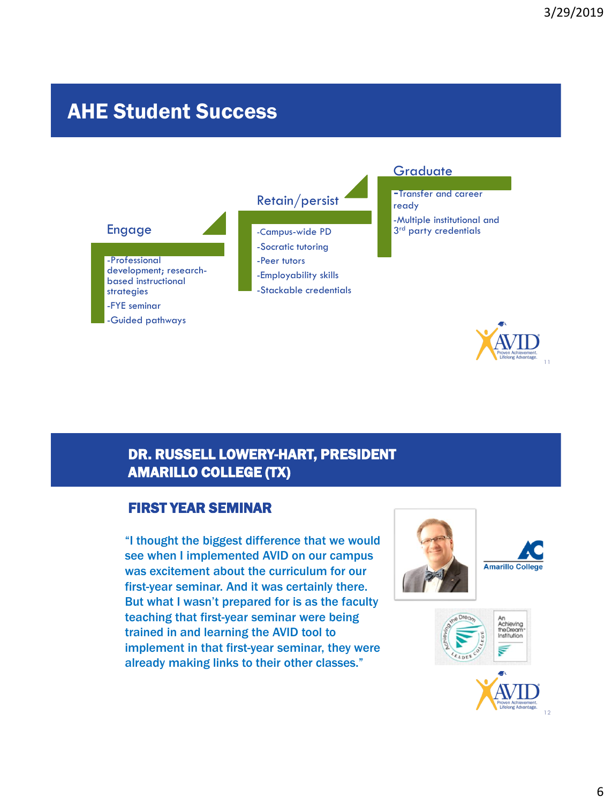### AHE Student Success



#### DR. RUSSELL LOWERY-HART, PRESIDENT AMARILLO COLLEGE (TX)

#### FIRST YEAR SEMINAR

"I thought the biggest difference that we would see when I implemented AVID on our campus was excitement about the curriculum for our first-year seminar. And it was certainly there. But what I wasn't prepared for is as the faculty teaching that first-year seminar were being trained in and learning the AVID tool to implement in that first-year seminar, they were already making links to their other classes."





12

11

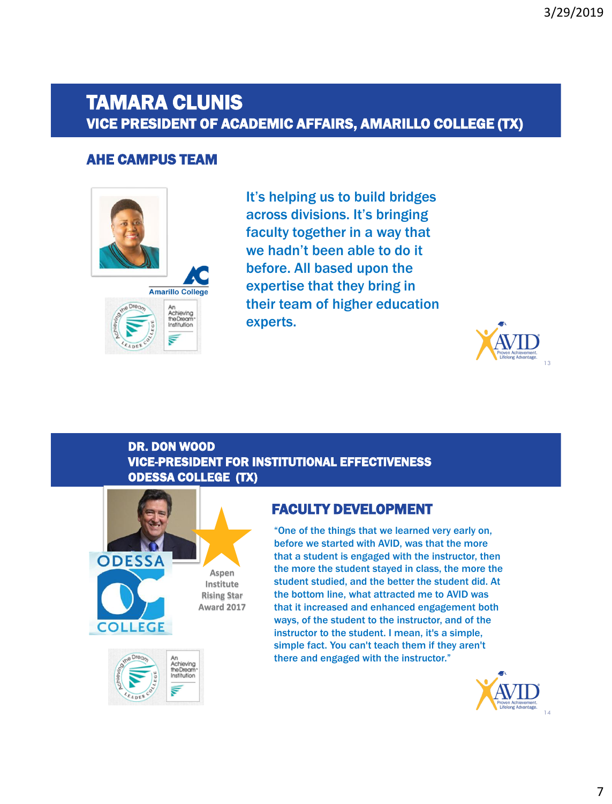### TAMARA CLUNIS VICE PRESIDENT OF ACADEMIC AFFAIRS, AMARILLO COLLEGE (TX)

#### AHE CAMPUS TEAM



It's helping us to build bridges across divisions. It's bringing faculty together in a way that we hadn't been able to do it before. All based upon the expertise that they bring in their team of higher education experts.



#### DR. DON WOOD VICE-PRESIDENT FOR INSTITUTIONAL EFFECTIVENESS ODESSA COLLEGE (TX)





#### FACULTY DEVELOPMENT

"One of the things that we learned very early on, before we started with AVID, was that the more that a student is engaged with the instructor, then the more the student stayed in class, the more the student studied, and the better the student did. At the bottom line, what attracted me to AVID was that it increased and enhanced engagement both ways, of the student to the instructor, and of the instructor to the student. I mean, it's a simple, simple fact. You can't teach them if they aren't there and engaged with the instructor."

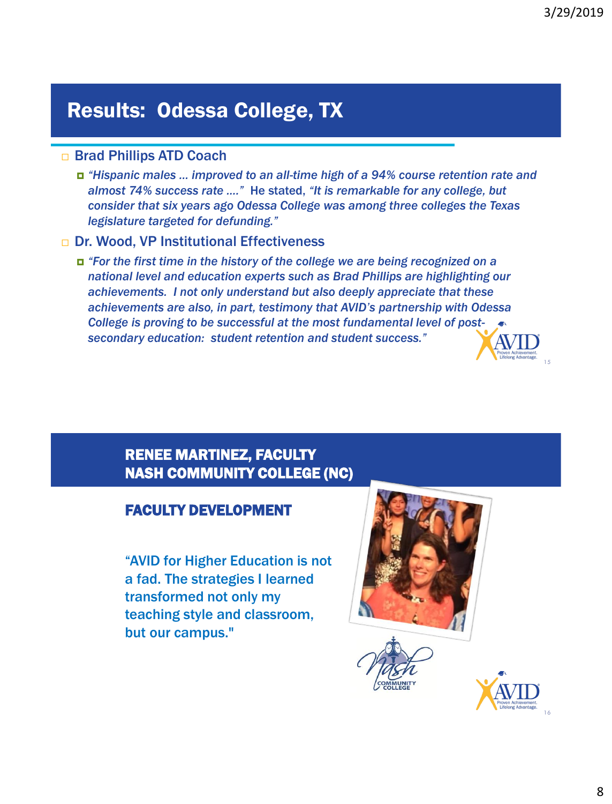# Results: Odessa College, TX

#### □ Brad Phillips ATD Coach

 *"Hispanic males … improved to an all-time high of a 94% course retention rate and almost 74% success rate …."* He stated, *"It is remarkable for any college, but consider that six years ago Odessa College was among three colleges the Texas legislature targeted for defunding."* 

#### □ Dr. Wood, VP Institutional Effectiveness

 *"For the first time in the history of the college we are being recognized on a national level and education experts such as Brad Phillips are highlighting our achievements. I not only understand but also deeply appreciate that these achievements are also, in part, testimony that AVID's partnership with Odessa College is proving to be successful at the most fundamental level of postsecondary education: student retention and student success."* 



#### FACULTY DEVELOPMENT

"AVID for Higher Education is not a fad. The strategies I learned transformed not only my teaching style and classroom, but our campus."





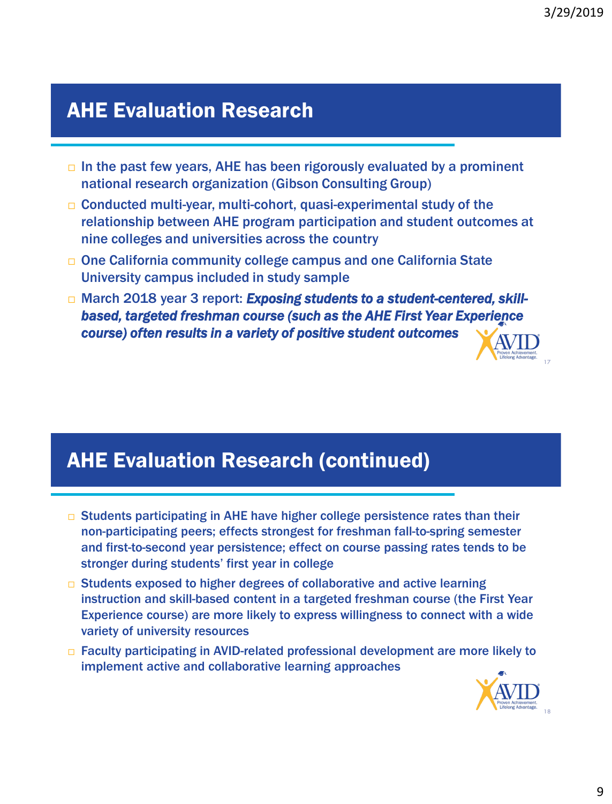# AHE Evaluation Research

- $\Box$  In the past few years, AHE has been rigorously evaluated by a prominent national research organization (Gibson Consulting Group)
- $\Box$  Conducted multi-year, multi-cohort, quasi-experimental study of the relationship between AHE program participation and student outcomes at nine colleges and universities across the country
- One California community college campus and one California State University campus included in study sample
- □ March 2018 year 3 report: *Exposing students to a student-centered, skillbased, targeted freshman course (such as the AHE First Year Experience course) often results in a variety of positive student outcomes*

### AHE Evaluation Research (continued)

- $\Box$  Students participating in AHE have higher college persistence rates than their non-participating peers; effects strongest for freshman fall-to-spring semester and first-to-second year persistence; effect on course passing rates tends to be stronger during students' first year in college
- □ Students exposed to higher degrees of collaborative and active learning instruction and skill-based content in a targeted freshman course (the First Year Experience course) are more likely to express willingness to connect with a wide variety of university resources
- □ Faculty participating in AVID-related professional development are more likely to implement active and collaborative learning approaches

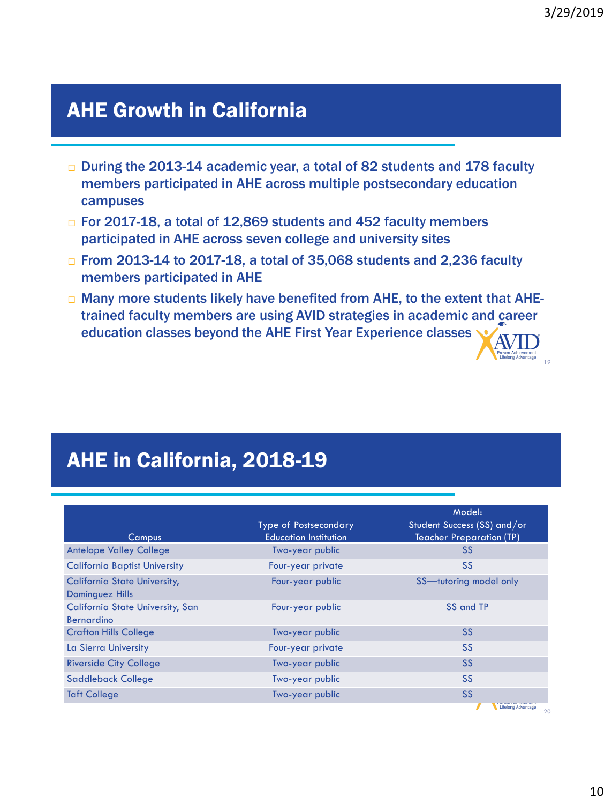Proven Achievement.<br>Lifelong Advantage.<br>19

### AHE Growth in California

- □ During the 2013-14 academic year, a total of 82 students and 178 faculty members participated in AHE across multiple postsecondary education campuses
- □ For 2017-18, a total of 12,869 students and 452 faculty members participated in AHE across seven college and university sites
- □ From 2013-14 to 2017-18, a total of 35,068 students and 2,236 faculty members participated in AHE
- $\Box$  Many more students likely have benefited from AHE, to the extent that AHEtrained faculty members are using AVID strategies in academic and career education classes beyond the AHE First Year Experience classes

# AHE in California, 2018-19

| <b>Type of Postsecondary</b><br><b>Education Institution</b> | Model:<br>Student Success (SS) and/or<br><b>Teacher Preparation (TP)</b> |
|--------------------------------------------------------------|--------------------------------------------------------------------------|
| Two-year public                                              | <b>SS</b>                                                                |
| Four-year private                                            | <b>SS</b>                                                                |
| Four-year public                                             | SS-tutoring model only                                                   |
| Four-year public                                             | SS and TP                                                                |
| Two-year public                                              | <b>SS</b>                                                                |
| Four-year private                                            | <b>SS</b>                                                                |
| Two-year public                                              | <b>SS</b>                                                                |
| Two-year public                                              | <b>SS</b>                                                                |
| Two-year public                                              | <b>SS</b>                                                                |
|                                                              |                                                                          |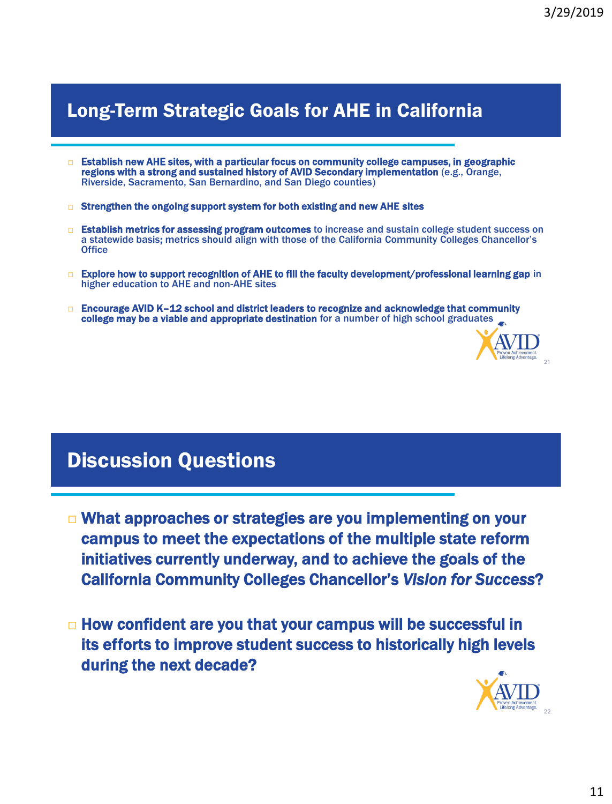### Long-Term Strategic Goals for AHE in California

- $\Box$  Establish new AHE sites, with a particular focus on community college campuses, in geographic regions with a strong and sustained history of AVID Secondary implementation (e.g., Orange, Riverside, Sacramento, San Bernardino, and San Diego counties)
- $\Box$  Strengthen the ongoing support system for both existing and new AHE sites
- **Extablish metrics for assessing program outcomes** to increase and sustain college student success on a statewide basis; metrics should align with those of the California Community Colleges Chancellor's **Office**
- □ Explore how to support recognition of AHE to fill the faculty development/professional learning gap in higher education to AHE and non-AHE sites
- $\Box$  Encourage AVID K-12 school and district leaders to recognize and acknowledge that community college may be a viable and appropriate destination for a number of high school graduates



### Discussion Questions

- □ What approaches or strategies are you implementing on your campus to meet the expectations of the multiple state reform initiatives currently underway, and to achieve the goals of the California Community Colleges Chancellor's *Vision for Success*?
- $\Box$  How confident are you that your campus will be successful in its efforts to improve student success to historically high levels during the next decade?